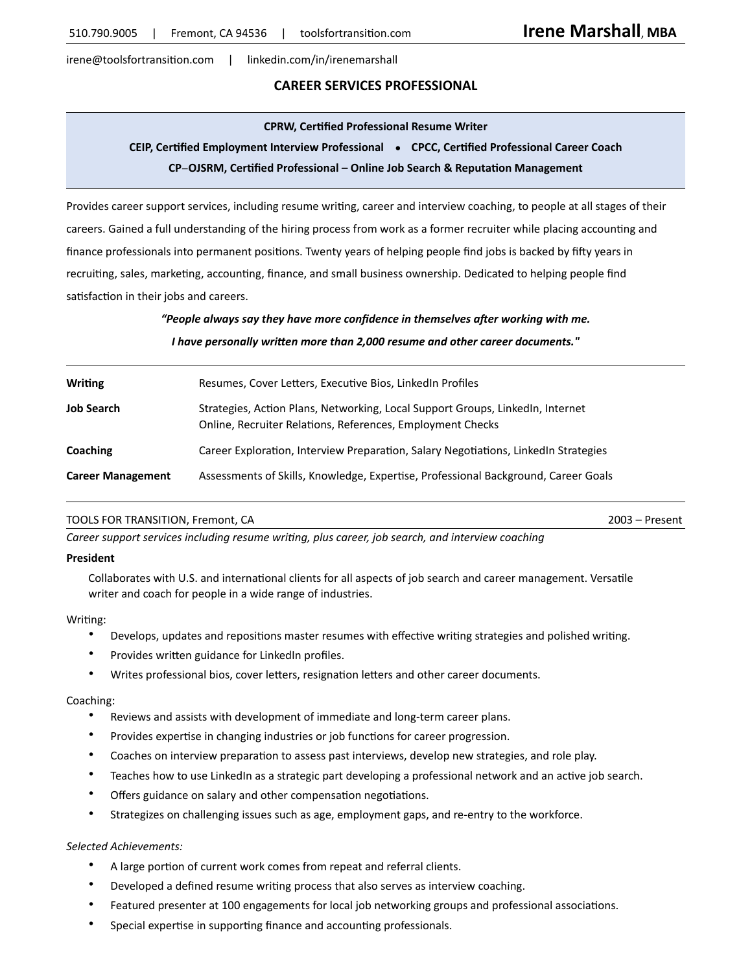irene@toolsfortransition.com | linkedin.com/in/irenemarshall

# **CAREER SERVICES PROFESSIONAL**

#### **CPRW, Certified Professional Resume Writer**

# **CEIP, Certified Employment Interview Professional ● CPCC, Certified Professional Career Coach**

#### **CP**−**OJSRM, Certified Professional – Online Job Search & Reputation Management**

Provides career support services, including resume writing, career and interview coaching, to people at all stages of their careers. Gained a full understanding of the hiring process from work as a former recruiter while placing accounting and finance professionals into permanent positions. Twenty years of helping people find jobs is backed by fifty years in recruiting, sales, marketing, accounting, finance, and small business ownership. Dedicated to helping people find satisfaction in their jobs and careers.

*"People always say they have more confidence in themselves after working with me.*

*I have personally written more than 2,000 resume and other career documents."*

| <b>Writing</b>           | Resumes, Cover Letters, Executive Bios, LinkedIn Profiles                                                                                    |
|--------------------------|----------------------------------------------------------------------------------------------------------------------------------------------|
| <b>Job Search</b>        | Strategies, Action Plans, Networking, Local Support Groups, LinkedIn, Internet<br>Online, Recruiter Relations, References, Employment Checks |
| Coaching                 | Career Exploration, Interview Preparation, Salary Negotiations, LinkedIn Strategies                                                          |
| <b>Career Management</b> | Assessments of Skills, Knowledge, Expertise, Professional Background, Career Goals                                                           |

#### TOOLS FOR TRANSITION, Fremont, CA 2003 – Present

*Career support services including resume writing, plus career, job search, and interview coaching*

#### **President**

Collaborates with U.S. and international clients for all aspects of job search and career management. Versatile writer and coach for people in a wide range of industries.

#### Writing:

- Develops, updates and repositions master resumes with effective writing strategies and polished writing.
- Provides written guidance for LinkedIn profiles.
- Writes professional bios, cover letters, resignation letters and other career documents.

### Coaching:

- Reviews and assists with development of immediate and long-term career plans.
- Provides expertise in changing industries or job functions for career progression.
- Coaches on interview preparation to assess past interviews, develop new strategies, and role play.
- Teaches how to use LinkedIn as a strategic part developing a professional network and an active job search.
- Offers guidance on salary and other compensation negotiations.
- Strategizes on challenging issues such as age, employment gaps, and re-entry to the workforce.

#### *Selected Achievements:*

- A large portion of current work comes from repeat and referral clients.
- Developed a defined resume writing process that also serves as interview coaching.
- Featured presenter at 100 engagements for local job networking groups and professional associations.
- Special expertise in supporting finance and accounting professionals.